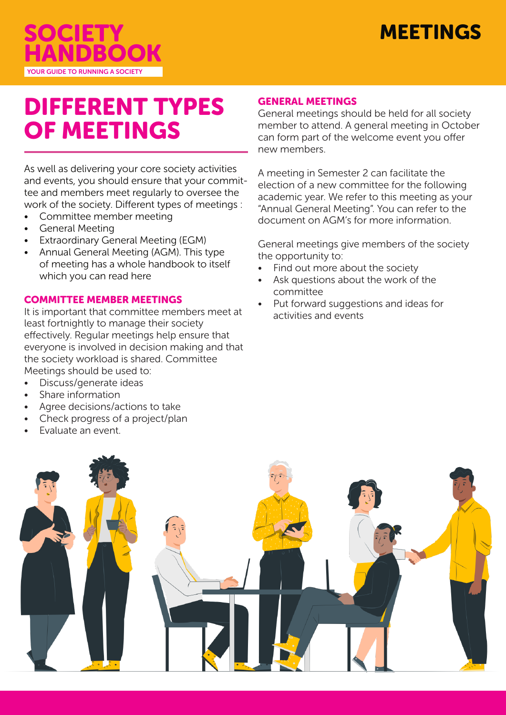



# DIFFERENT TYPES OF MEETINGS

As well as delivering your core society activities and events, you should ensure that your committee and members meet regularly to oversee the work of the society. Different types of meetings :

- Committee member meeting
- General Meeting
- **Extraordinary General Meeting (EGM)**
- Annual General Meeting (AGM). This type of meeting has a whole handbook to itself which you can read here

# COMMITTEE MEMBER MEETINGS

It is important that committee members meet at least fortnightly to manage their society effectively. Regular meetings help ensure that everyone is involved in decision making and that the society workload is shared. Committee Meetings should be used to:

- Discuss/generate ideas
- Share information
- Agree decisions/actions to take
- Check progress of a project/plan
- Evaluate an event.

### GENERAL MEETINGS

General meetings should be held for all society member to attend. A general meeting in October can form part of the welcome event you offer new members.

A meeting in Semester 2 can facilitate the election of a new committee for the following academic year. We refer to this meeting as your "Annual General Meeting". You can refer to the document on AGM's for more information.

General meetings give members of the society the opportunity to:

- Find out more about the society
- Ask questions about the work of the committee
- Put forward suggestions and ideas for activities and events

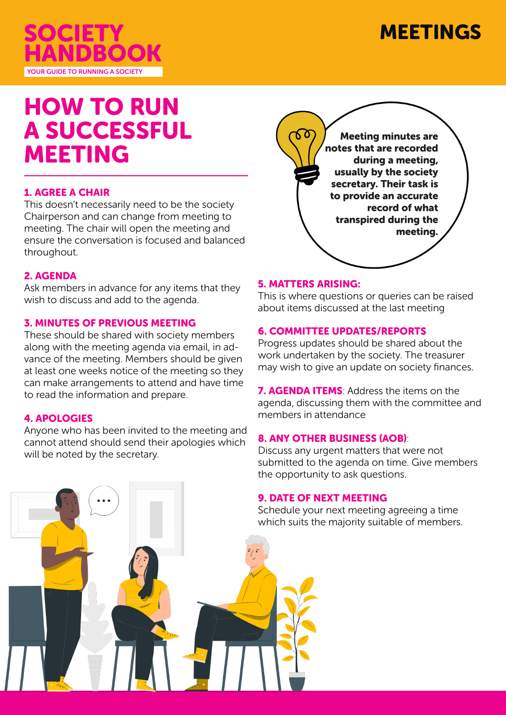

# MEETINGS

# HOW TO RUN A SUCCESSFUL MEETING

# 1. AGREE A CHAIR

This doesn't necessarily need to be the society Chairperson and can change from meeting to meeting. The chair will open the meeting and ensure the conversation is focused and balanced throughout.

## 2. AGENDA

Ask members in advance for any items that they wish to discuss and add to the agenda.

### 3. MINUTES OF PREVIOUS MEETING

These should be shared with society members along with the meeting agenda via email, in advance of the meeting. Members should be given at least one weeks notice of the meeting so they can make arrangements to attend and have time to read the information and prepare.

### 4. APOLOGIES

Anyone who has been invited to the meeting and cannot attend should send their apologies which will be noted by the secretary.



# 5. MATTERS ARISING:

This is where questions or queries can be raised about items discussed at the last meeting

## 6. COMMITTEE UPDATES/REPORTS

Progress updates should be shared about the work undertaken by the society. The treasurer may wish to give an update on society finances.

**7. AGENDA ITEMS:** Address the items on the agenda, discussing them with the committee and members in attendance

# 8. ANY OTHER BUSINESS (AOB):

Discuss any urgent matters that were not submitted to the agenda on time. Give members the opportunity to ask questions.

### 9. DATE OF NEXT MEETING

Schedule your next meeting agreeing a time which suits the majority suitable of members.